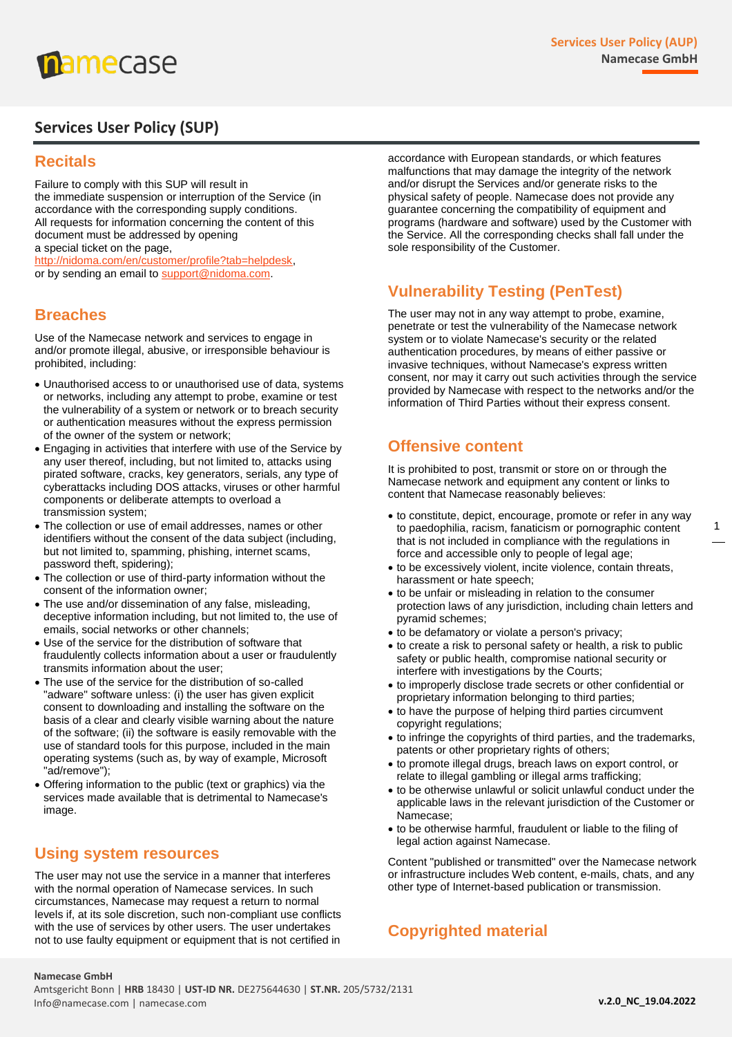

# **Services User Policy (SUP)**

## **Recitals**

Failure to comply with this SUP will result in the immediate suspension or interruption of the Service (in accordance with the corresponding supply conditions. All requests for information concerning the content of this document must be addressed by opening a special ticket on the page, [http://nidoma.com/en/customer/profile?tab=helpdesk,](http://nidoma.com/en/customer/profile?tab=helpdesk) or by sending an email to [support@nidoma.com.](mailto:support@nidoma.com)

## **Breaches**

Use of the Namecase network and services to engage in and/or promote illegal, abusive, or irresponsible behaviour is prohibited, including:

- Unauthorised access to or unauthorised use of data, systems or networks, including any attempt to probe, examine or test the vulnerability of a system or network or to breach security or authentication measures without the express permission of the owner of the system or network;
- Engaging in activities that interfere with use of the Service by any user thereof, including, but not limited to, attacks using pirated software, cracks, key generators, serials, any type of cyberattacks including DOS attacks, viruses or other harmful components or deliberate attempts to overload a transmission system;
- The collection or use of email addresses, names or other identifiers without the consent of the data subject (including, but not limited to, spamming, phishing, internet scams, password theft, spidering);
- The collection or use of third-party information without the consent of the information owner;
- The use and/or dissemination of any false, misleading, deceptive information including, but not limited to, the use of emails, social networks or other channels;
- Use of the service for the distribution of software that fraudulently collects information about a user or fraudulently transmits information about the user;
- The use of the service for the distribution of so-called "adware" software unless: (i) the user has given explicit consent to downloading and installing the software on the basis of a clear and clearly visible warning about the nature of the software; (ii) the software is easily removable with the use of standard tools for this purpose, included in the main operating systems (such as, by way of example, Microsoft "ad/remove");
- Offering information to the public (text or graphics) via the services made available that is detrimental to Namecase's image.

#### **Using system resources**

The user may not use the service in a manner that interferes with the normal operation of Namecase services. In such circumstances, Namecase may request a return to normal levels if, at its sole discretion, such non-compliant use conflicts with the use of services by other users. The user undertakes not to use faulty equipment or equipment that is not certified in

accordance with European standards, or which features malfunctions that may damage the integrity of the network and/or disrupt the Services and/or generate risks to the physical safety of people. Namecase does not provide any guarantee concerning the compatibility of equipment and programs (hardware and software) used by the Customer with the Service. All the corresponding checks shall fall under the sole responsibility of the Customer.

## **Vulnerability Testing (PenTest)**

The user may not in any way attempt to probe, examine, penetrate or test the vulnerability of the Namecase network system or to violate Namecase's security or the related authentication procedures, by means of either passive or invasive techniques, without Namecase's express written consent, nor may it carry out such activities through the service provided by Namecase with respect to the networks and/or the information of Third Parties without their express consent.

#### **Offensive content**

It is prohibited to post, transmit or store on or through the Namecase network and equipment any content or links to content that Namecase reasonably believes:

- to constitute, depict, encourage, promote or refer in any way to paedophilia, racism, fanaticism or pornographic content that is not included in compliance with the regulations in force and accessible only to people of legal age;
- to be excessively violent, incite violence, contain threats, harassment or hate speech;
- to be unfair or misleading in relation to the consumer protection laws of any jurisdiction, including chain letters and pyramid schemes;
- to be defamatory or violate a person's privacy;
- to create a risk to personal safety or health, a risk to public safety or public health, compromise national security or interfere with investigations by the Courts;
- to improperly disclose trade secrets or other confidential or proprietary information belonging to third parties;
- to have the purpose of helping third parties circumvent copyright regulations;
- to infringe the copyrights of third parties, and the trademarks, patents or other proprietary rights of others;
- to promote illegal drugs, breach laws on export control, or relate to illegal gambling or illegal arms trafficking;
- to be otherwise unlawful or solicit unlawful conduct under the applicable laws in the relevant jurisdiction of the Customer or Namecase;
- to be otherwise harmful, fraudulent or liable to the filing of legal action against Namecase.

Content "published or transmitted" over the Namecase network or infrastructure includes Web content, e-mails, chats, and any other type of Internet-based publication or transmission.

## **Copyrighted material**

#### **Namecase GmbH**

Amtsgericht Bonn | **HRB** 18430 | **UST-ID NR.** DE275644630 | **ST.NR.** 205/5732/2131 Info@namecase.com | namecase.com

1